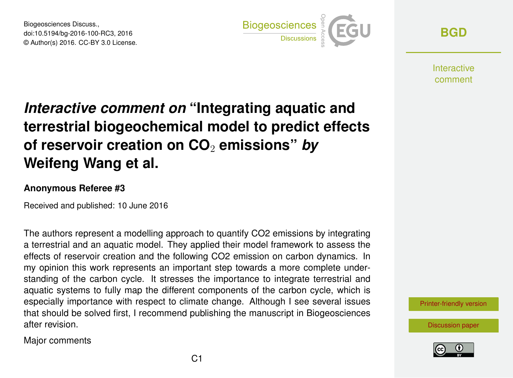Biogeosciences Discuss., doi:10.5194/bg-2016-100-RC3, 2016 © Author(s) 2016. CC-BY 3.0 License.



**[BGD](http://www.biogeosciences-discuss.net/)**

**Interactive** comment

## *Interactive comment on* **"Integrating aquatic and terrestrial biogeochemical model to predict effects of reservoir creation on CO**<sup>2</sup> **emissions"** *by* **Weifeng Wang et al.**

## **Anonymous Referee #3**

Received and published: 10 June 2016

The authors represent a modelling approach to quantify CO2 emissions by integrating a terrestrial and an aquatic model. They applied their model framework to assess the effects of reservoir creation and the following CO2 emission on carbon dynamics. In my opinion this work represents an important step towards a more complete understanding of the carbon cycle. It stresses the importance to integrate terrestrial and aquatic systems to fully map the different components of the carbon cycle, which is especially importance with respect to climate change. Although I see several issues that should be solved first, I recommend publishing the manuscript in Biogeosciences after revision.

Major comments



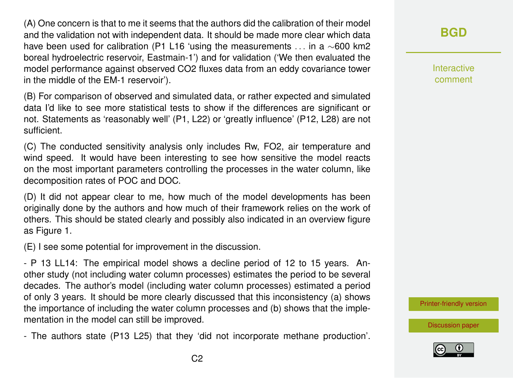(A) One concern is that to me it seems that the authors did the calibration of their model and the validation not with independent data. It should be made more clear which data have been used for calibration (P1 L16 'using the measurements . . . in a ∼600 km2 boreal hydroelectric reservoir, Eastmain-1') and for validation ('We then evaluated the model performance against observed CO2 fluxes data from an eddy covariance tower in the middle of the EM-1 reservoir').

(B) For comparison of observed and simulated data, or rather expected and simulated data I'd like to see more statistical tests to show if the differences are significant or not. Statements as 'reasonably well' (P1, L22) or 'greatly influence' (P12, L28) are not sufficient.

(C) The conducted sensitivity analysis only includes Rw, FO2, air temperature and wind speed. It would have been interesting to see how sensitive the model reacts on the most important parameters controlling the processes in the water column, like decomposition rates of POC and DOC.

(D) It did not appear clear to me, how much of the model developments has been originally done by the authors and how much of their framework relies on the work of others. This should be stated clearly and possibly also indicated in an overview figure as Figure 1.

(E) I see some potential for improvement in the discussion.

- P 13 LL14: The empirical model shows a decline period of 12 to 15 years. Another study (not including water column processes) estimates the period to be several decades. The author's model (including water column processes) estimated a period of only 3 years. It should be more clearly discussed that this inconsistency (a) shows the importance of including the water column processes and (b) shows that the implementation in the model can still be improved.

- The authors state (P13 L25) that they 'did not incorporate methane production'.

Interactive comment

[Printer-friendly version](http://www.biogeosciences-discuss.net/bg-2016-100/bg-2016-100-RC3-print.pdf)

[Discussion paper](http://www.biogeosciences-discuss.net/bg-2016-100)

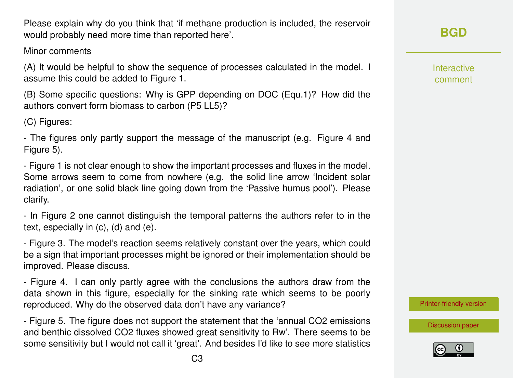Please explain why do you think that 'if methane production is included, the reservoir would probably need more time than reported here'.

Minor comments

(A) It would be helpful to show the sequence of processes calculated in the model. I assume this could be added to Figure 1.

(B) Some specific questions: Why is GPP depending on DOC (Equ.1)? How did the authors convert form biomass to carbon (P5 LL5)?

(C) Figures:

- The figures only partly support the message of the manuscript (e.g. Figure 4 and Figure 5).

- Figure 1 is not clear enough to show the important processes and fluxes in the model. Some arrows seem to come from nowhere (e.g. the solid line arrow 'Incident solar radiation', or one solid black line going down from the 'Passive humus pool'). Please clarify.

- In Figure 2 one cannot distinguish the temporal patterns the authors refer to in the text, especially in (c), (d) and (e).

- Figure 3. The model's reaction seems relatively constant over the years, which could be a sign that important processes might be ignored or their implementation should be improved. Please discuss.

- Figure 4. I can only partly agree with the conclusions the authors draw from the data shown in this figure, especially for the sinking rate which seems to be poorly reproduced. Why do the observed data don't have any variance?

- Figure 5. The figure does not support the statement that the 'annual CO2 emissions and benthic dissolved CO2 fluxes showed great sensitivity to Rw'. There seems to be some sensitivity but I would not call it 'great'. And besides I'd like to see more statistics Interactive comment

**[BGD](http://www.biogeosciences-discuss.net/)**

[Printer-friendly version](http://www.biogeosciences-discuss.net/bg-2016-100/bg-2016-100-RC3-print.pdf)

[Discussion paper](http://www.biogeosciences-discuss.net/bg-2016-100)